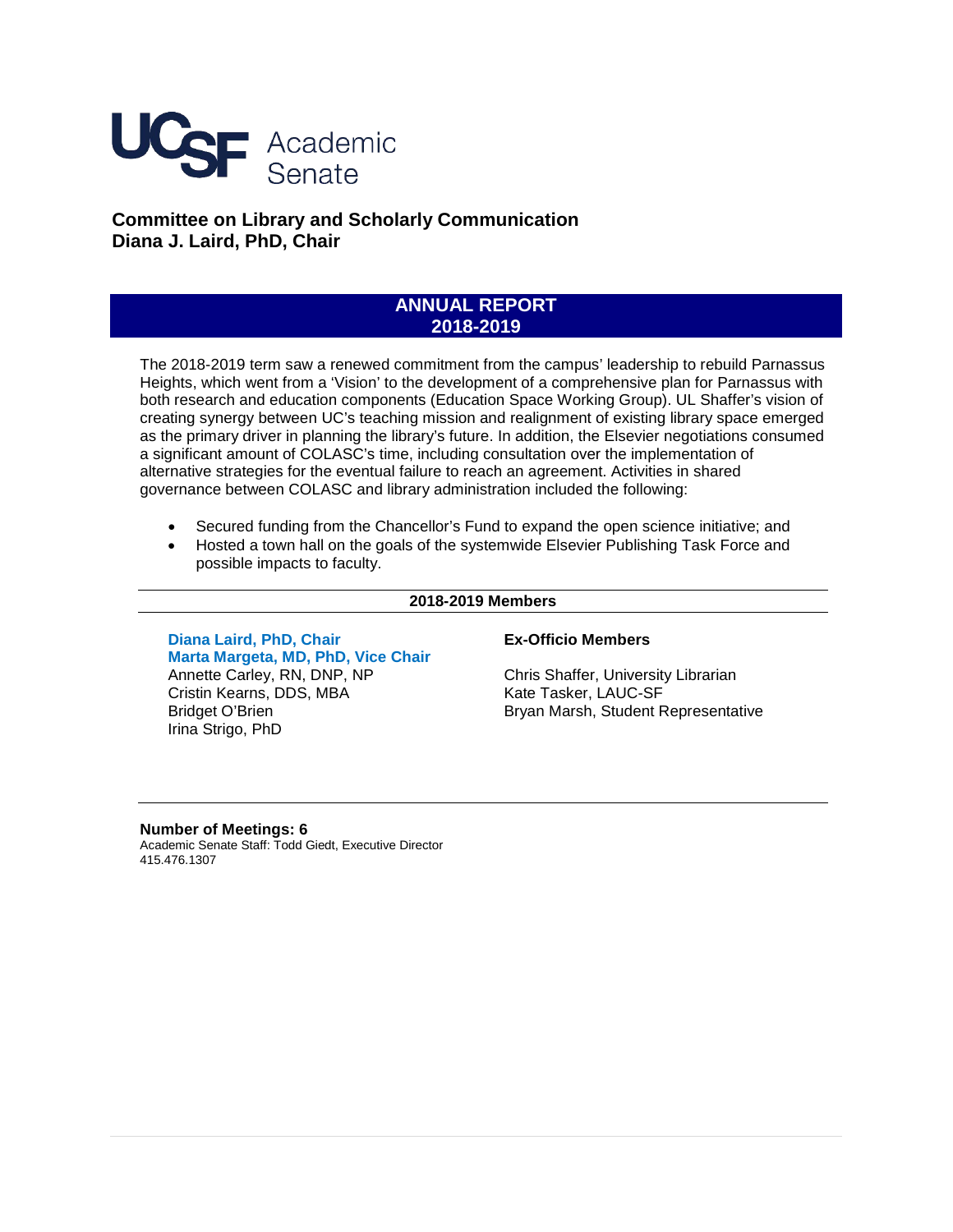

**Committee on Library and Scholarly Communication Diana J. Laird, PhD, Chair**

# **ANNUAL REPORT 2018-2019**

The 2018-2019 term saw a renewed commitment from the campus' leadership to rebuild Parnassus Heights, which went from a 'Vision' to the development of a comprehensive plan for Parnassus with both research and education components (Education Space Working Group). UL Shaffer's vision of creating synergy between UC's teaching mission and realignment of existing library space emerged as the primary driver in planning the library's future. In addition, the Elsevier negotiations consumed a significant amount of COLASC's time, including consultation over the implementation of alternative strategies for the eventual failure to reach an agreement. Activities in shared governance between COLASC and library administration included the following:

- Secured funding from the Chancellor's Fund to expand the open science initiative; and
- Hosted a town hall on the goals of the systemwide Elsevier Publishing Task Force and possible impacts to faculty.

#### **2018-2019 Members**

**Diana Laird, PhD, Chair Marta Margeta, MD, PhD, Vice Chair** Annette Carley, RN, DNP, NP Cristin Kearns, DDS, MBA Bridget O'Brien Irina Strigo, PhD

#### **Ex-Officio Members**

Chris Shaffer, University Librarian Kate Tasker, LAUC-SF Bryan Marsh, Student Representative

#### **Number of Meetings: 6**

Academic Senate Staff: Todd Giedt, Executive Director 415.476.1307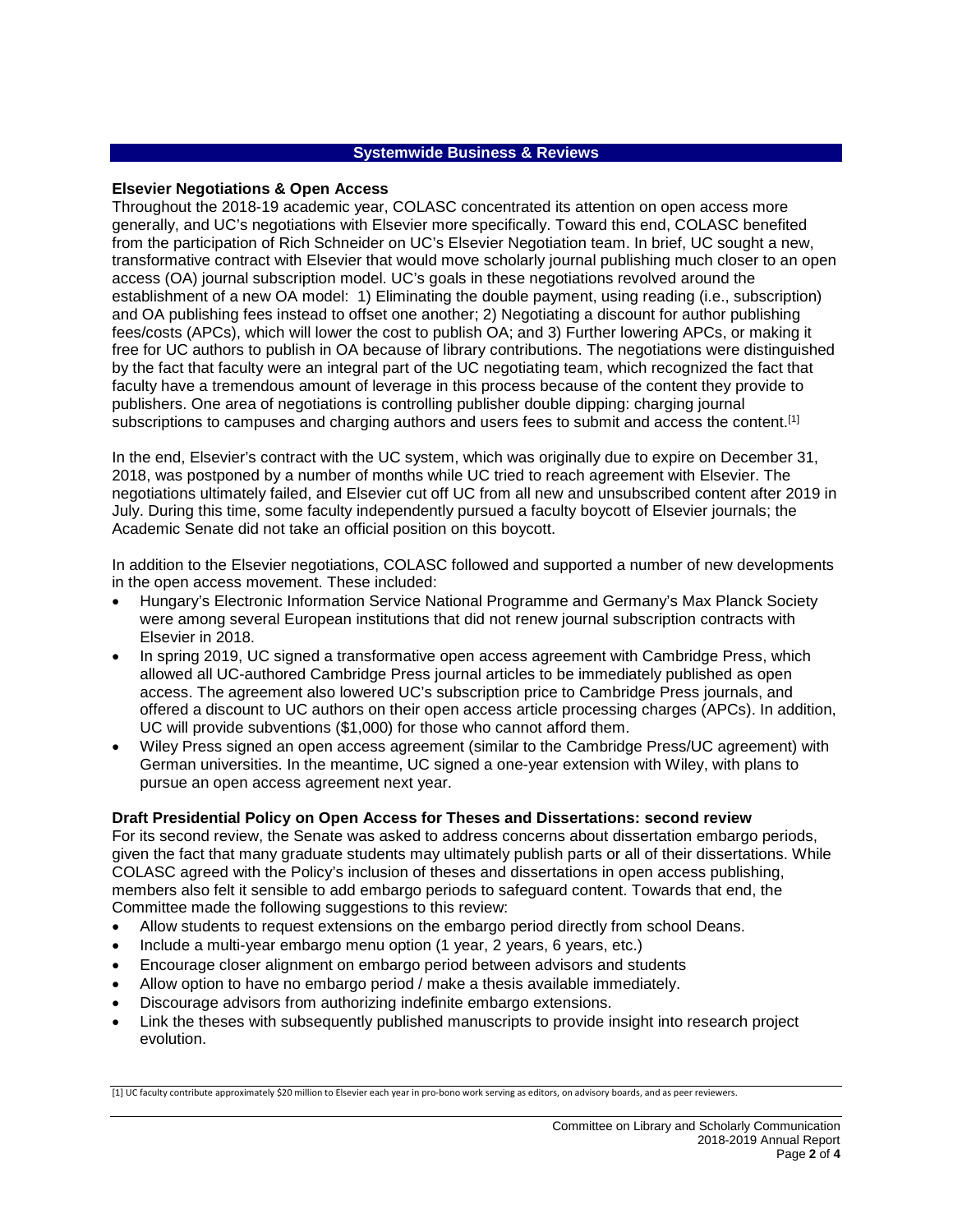# **Systemwide Business & Reviews**

#### **Elsevier Negotiations & Open Access**

Throughout the 2018-19 academic year, COLASC concentrated its attention on open access more generally, and UC's negotiations with Elsevier more specifically. Toward this end, COLASC benefited from the participation of Rich Schneider on UC's Elsevier Negotiation team. In brief, UC sought a new, transformative contract with Elsevier that would move scholarly journal publishing much closer to an open access (OA) journal subscription model. UC's goals in these negotiations revolved around the establishment of a new OA model: 1) Eliminating the double payment, using reading (i.e., subscription) and OA publishing fees instead to offset one another; 2) Negotiating a discount for author publishing fees/costs (APCs), which will lower the cost to publish OA; and 3) Further lowering APCs, or making it free for UC authors to publish in OA because of library contributions. The negotiations were distinguished by the fact that faculty were an integral part of the UC negotiating team, which recognized the fact that faculty have a tremendous amount of leverage in this process because of the content they provide to publishers. One area of negotiations is controlling publisher double dipping: charging journal subscriptions to campuses and charging authors and users fees to submit and access the content.<sup>[1]</sup>

In the end, Elsevier's contract with the UC system, which was originally due to expire on December 31, 2018, was postponed by a number of months while UC tried to reach agreement with Elsevier. The negotiations ultimately failed, and Elsevier cut off UC from all new and unsubscribed content after 2019 in July. During this time, some faculty independently pursued a faculty boycott of Elsevier journals; the Academic Senate did not take an official position on this boycott.

In addition to the Elsevier negotiations, COLASC followed and supported a number of new developments in the open access movement. These included:

- Hungary's Electronic Information Service National Programme and Germany's Max Planck Society were among several European institutions that did not renew journal subscription contracts with Elsevier in 2018.
- In spring 2019, UC signed a transformative open access agreement with Cambridge Press, which allowed all UC-authored Cambridge Press journal articles to be immediately published as open access. The agreement also lowered UC's subscription price to Cambridge Press journals, and offered a discount to UC authors on their open access article processing charges (APCs). In addition, UC will provide subventions (\$1,000) for those who cannot afford them.
- Wiley Press signed an open access agreement (similar to the Cambridge Press/UC agreement) with German universities. In the meantime, UC signed a one-year extension with Wiley, with plans to pursue an open access agreement next year.

#### **Draft Presidential Policy on Open Access for Theses and Dissertations: second review**

For its second review, the Senate was asked to address concerns about dissertation embargo periods, given the fact that many graduate students may ultimately publish parts or all of their dissertations. While COLASC agreed with the Policy's inclusion of theses and dissertations in open access publishing, members also felt it sensible to add embargo periods to safeguard content. Towards that end, the Committee made the following suggestions to this review:

- Allow students to request extensions on the embargo period directly from school Deans.
- Include a multi-year embargo menu option (1 year, 2 years, 6 years, etc.)
- Encourage closer alignment on embargo period between advisors and students
- Allow option to have no embargo period / make a thesis available immediately.
- Discourage advisors from authorizing indefinite embargo extensions.
- Link the theses with subsequently published manuscripts to provide insight into research project evolution.

[1] UC faculty contribute approximately \$20 million to Elsevier each year in pro-bono work serving as editors, on advisory boards, and as peer reviewers.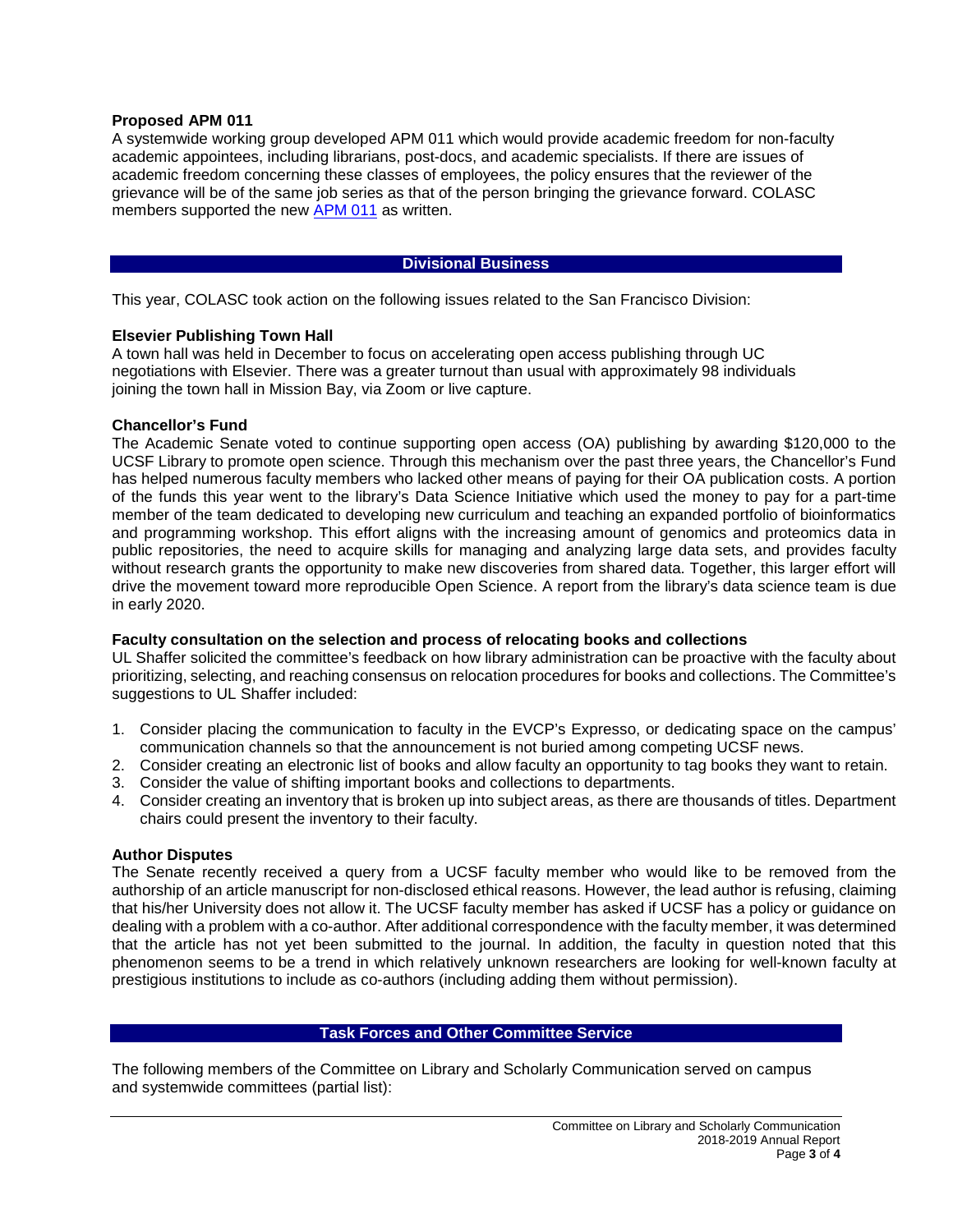# **Proposed APM 011**

A systemwide working group developed APM 011 which would provide academic freedom for non-faculty academic appointees, including librarians, post-docs, and academic specialists. If there are issues of academic freedom concerning these classes of employees, the policy ensures that the reviewer of the grievance will be of the same job series as that of the person bringing the grievance forward. COLASC members supported the new [APM 011](https://senate.universityofcalifornia.edu/_files/reports/kkb-sc-apm-011.pdf) as written.

# **Divisional Business**

This year, COLASC took action on the following issues related to the San Francisco Division:

# **Elsevier Publishing Town Hall**

A town hall was held in December to focus on accelerating open access publishing through UC negotiations with Elsevier. There was a greater turnout than usual with approximately 98 individuals joining the town hall in Mission Bay, via Zoom or live capture.

# **Chancellor's Fund**

The Academic Senate voted to continue supporting open access (OA) publishing by awarding \$120,000 to the UCSF Library to promote open science. Through this mechanism over the past three years, the Chancellor's Fund has helped numerous faculty members who lacked other means of paying for their OA publication costs. A portion of the funds this year went to the library's Data Science Initiative which used the money to pay for a part-time member of the team dedicated to developing new curriculum and teaching an expanded portfolio of bioinformatics and programming workshop. This effort aligns with the increasing amount of genomics and proteomics data in public repositories, the need to acquire skills for managing and analyzing large data sets, and provides faculty without research grants the opportunity to make new discoveries from shared data. Together, this larger effort will drive the movement toward more reproducible Open Science. A report from the library's data science team is due in early 2020.

#### **Faculty consultation on the selection and process of relocating books and collections**

UL Shaffer solicited the committee's feedback on how library administration can be proactive with the faculty about prioritizing, selecting, and reaching consensus on relocation procedures for books and collections. The Committee's suggestions to UL Shaffer included:

- 1. Consider placing the communication to faculty in the EVCP's Expresso, or dedicating space on the campus' communication channels so that the announcement is not buried among competing UCSF news.
- 2. Consider creating an electronic list of books and allow faculty an opportunity to tag books they want to retain.
- 3. Consider the value of shifting important books and collections to departments.
- 4. Consider creating an inventory that is broken up into subject areas, as there are thousands of titles. Department chairs could present the inventory to their faculty.

#### **Author Disputes**

The Senate recently received a query from a UCSF faculty member who would like to be removed from the authorship of an article manuscript for non-disclosed ethical reasons. However, the lead author is refusing, claiming that his/her University does not allow it. The UCSF faculty member has asked if UCSF has a policy or guidance on dealing with a problem with a co-author. After additional correspondence with the faculty member, it was determined that the article has not yet been submitted to the journal. In addition, the faculty in question noted that this phenomenon seems to be a trend in which relatively unknown researchers are looking for well-known faculty at prestigious institutions to include as co-authors (including adding them without permission).

#### **Task Forces and Other Committee Service**

The following members of the Committee on Library and Scholarly Communication served on campus and systemwide committees (partial list):